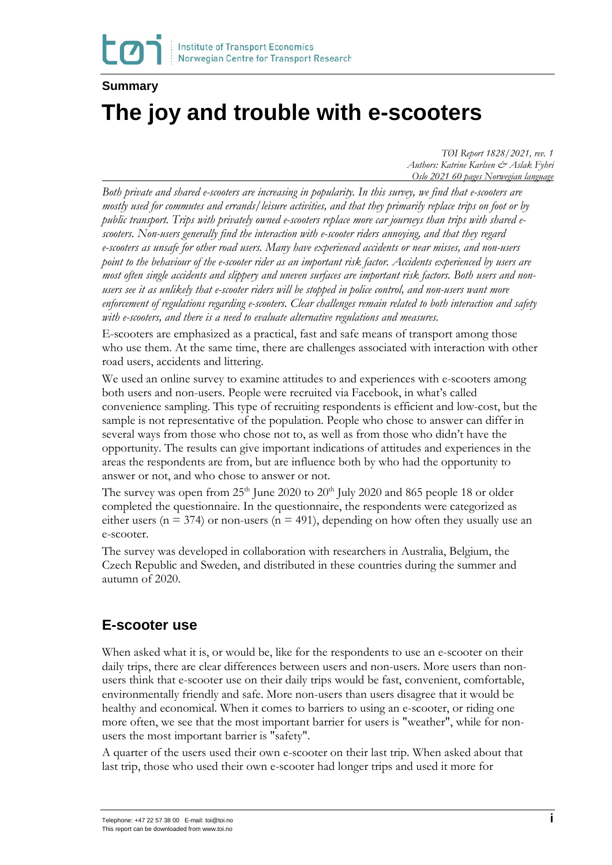#### **Summary**

# **The joy and trouble with e-scooters**

*TØI Report 1828/2021, rev. 1 Authors: Katrine Karlsen & Aslak Fyhri Oslo 2021 60 pages Norwegian language*

*Both private and shared e-scooters are increasing in popularity. In this survey, we find that e-scooters are mostly used for commutes and errands/leisure activities, and that they primarily replace trips on foot or by public transport. Trips with privately owned e-scooters replace more car journeys than trips with shared escooters. Non-users generally find the interaction with e-scooter riders annoying, and that they regard e-scooters as unsafe for other road users. Many have experienced accidents or near misses, and non-users point to the behaviour of the e-scooter rider as an important risk factor. Accidents experienced by users are most often single accidents and slippery and uneven surfaces are important risk factors. Both users and nonusers see it as unlikely that e-scooter riders will be stopped in police control, and non-users want more enforcement of regulations regarding e-scooters. Clear challenges remain related to both interaction and safety with e-scooters, and there is a need to evaluate alternative regulations and measures.*

E-scooters are emphasized as a practical, fast and safe means of transport among those who use them. At the same time, there are challenges associated with interaction with other road users, accidents and littering.

We used an online survey to examine attitudes to and experiences with e-scooters among both users and non-users. People were recruited via Facebook, in what's called convenience sampling. This type of recruiting respondents is efficient and low-cost, but the sample is not representative of the population. People who chose to answer can differ in several ways from those who chose not to, as well as from those who didn't have the opportunity. The results can give important indications of attitudes and experiences in the areas the respondents are from, but are influence both by who had the opportunity to answer or not, and who chose to answer or not.

The survey was open from  $25<sup>th</sup>$  June 2020 to  $20<sup>th</sup>$  July 2020 and 865 people 18 or older completed the questionnaire. In the questionnaire, the respondents were categorized as either users ( $n = 374$ ) or non-users ( $n = 491$ ), depending on how often they usually use an e-scooter.

The survey was developed in collaboration with researchers in Australia, Belgium, the Czech Republic and Sweden, and distributed in these countries during the summer and autumn of 2020.

#### **E-scooter use**

When asked what it is, or would be, like for the respondents to use an e-scooter on their daily trips, there are clear differences between users and non-users. More users than nonusers think that e-scooter use on their daily trips would be fast, convenient, comfortable, environmentally friendly and safe. More non-users than users disagree that it would be healthy and economical. When it comes to barriers to using an e-scooter, or riding one more often, we see that the most important barrier for users is "weather", while for nonusers the most important barrier is "safety".

A quarter of the users used their own e-scooter on their last trip. When asked about that last trip, those who used their own e-scooter had longer trips and used it more for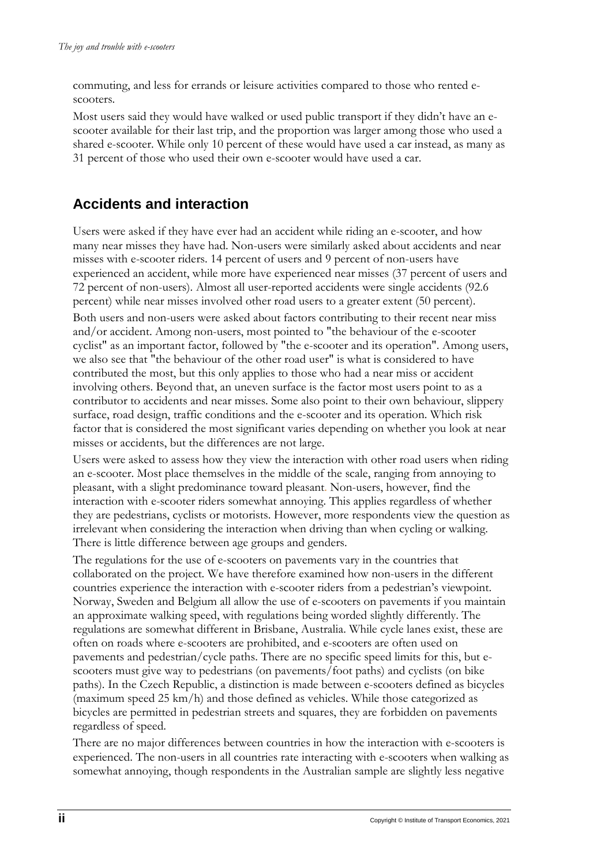commuting, and less for errands or leisure activities compared to those who rented escooters.

Most users said they would have walked or used public transport if they didn't have an escooter available for their last trip, and the proportion was larger among those who used a shared e-scooter. While only 10 percent of these would have used a car instead, as many as 31 percent of those who used their own e-scooter would have used a car.

## **Accidents and interaction**

Users were asked if they have ever had an accident while riding an e-scooter, and how many near misses they have had. Non-users were similarly asked about accidents and near misses with e-scooter riders. 14 percent of users and 9 percent of non-users have experienced an accident, while more have experienced near misses (37 percent of users and 72 percent of non-users). Almost all user-reported accidents were single accidents (92.6 percent) while near misses involved other road users to a greater extent (50 percent).

Both users and non-users were asked about factors contributing to their recent near miss and/or accident. Among non-users, most pointed to "the behaviour of the e-scooter cyclist" as an important factor, followed by "the e-scooter and its operation". Among users, we also see that "the behaviour of the other road user" is what is considered to have contributed the most, but this only applies to those who had a near miss or accident involving others. Beyond that, an uneven surface is the factor most users point to as a contributor to accidents and near misses. Some also point to their own behaviour, slippery surface, road design, traffic conditions and the e-scooter and its operation. Which risk factor that is considered the most significant varies depending on whether you look at near misses or accidents, but the differences are not large.

Users were asked to assess how they view the interaction with other road users when riding an e-scooter. Most place themselves in the middle of the scale, ranging from annoying to pleasant, with a slight predominance toward pleasant. Non-users, however, find the interaction with e-scooter riders somewhat annoying. This applies regardless of whether they are pedestrians, cyclists or motorists. However, more respondents view the question as irrelevant when considering the interaction when driving than when cycling or walking. There is little difference between age groups and genders.

The regulations for the use of e-scooters on pavements vary in the countries that collaborated on the project. We have therefore examined how non-users in the different countries experience the interaction with e-scooter riders from a pedestrian's viewpoint. Norway, Sweden and Belgium all allow the use of e-scooters on pavements if you maintain an approximate walking speed, with regulations being worded slightly differently. The regulations are somewhat different in Brisbane, Australia. While cycle lanes exist, these are often on roads where e-scooters are prohibited, and e-scooters are often used on pavements and pedestrian/cycle paths. There are no specific speed limits for this, but escooters must give way to pedestrians (on pavements/foot paths) and cyclists (on bike paths). In the Czech Republic, a distinction is made between e-scooters defined as bicycles (maximum speed 25 km/h) and those defined as vehicles. While those categorized as bicycles are permitted in pedestrian streets and squares, they are forbidden on pavements regardless of speed.

There are no major differences between countries in how the interaction with e-scooters is experienced. The non-users in all countries rate interacting with e-scooters when walking as somewhat annoying, though respondents in the Australian sample are slightly less negative